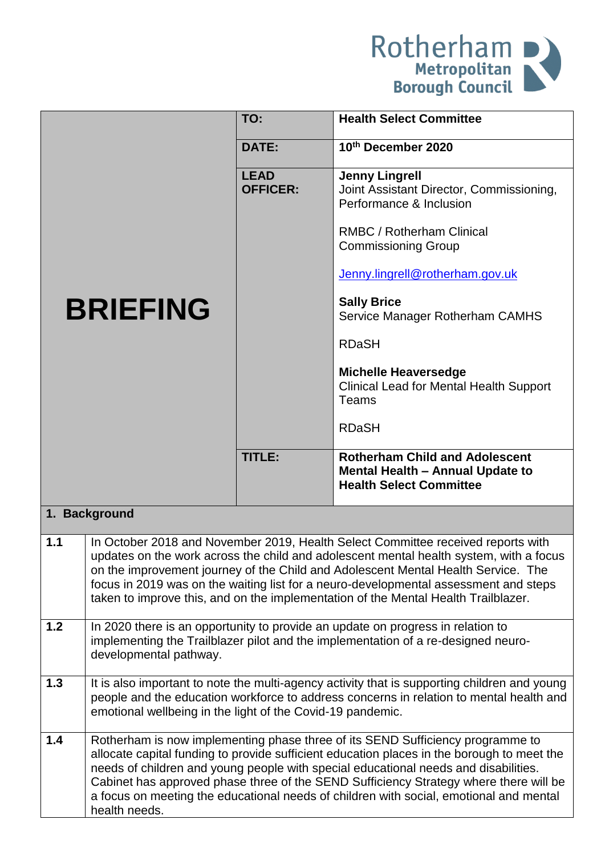

|       |                                                                                                                                                                                                                                                                                                                                                                                                                                                                         | TO:                            | <b>Health Select Committee</b>                                                                                                                                                                                                                                                                                                                                                                                                                |  |
|-------|-------------------------------------------------------------------------------------------------------------------------------------------------------------------------------------------------------------------------------------------------------------------------------------------------------------------------------------------------------------------------------------------------------------------------------------------------------------------------|--------------------------------|-----------------------------------------------------------------------------------------------------------------------------------------------------------------------------------------------------------------------------------------------------------------------------------------------------------------------------------------------------------------------------------------------------------------------------------------------|--|
|       |                                                                                                                                                                                                                                                                                                                                                                                                                                                                         | <b>DATE:</b>                   | 10th December 2020                                                                                                                                                                                                                                                                                                                                                                                                                            |  |
|       |                                                                                                                                                                                                                                                                                                                                                                                                                                                                         | <b>LEAD</b><br><b>OFFICER:</b> | <b>Jenny Lingrell</b><br>Joint Assistant Director, Commissioning,<br>Performance & Inclusion                                                                                                                                                                                                                                                                                                                                                  |  |
|       |                                                                                                                                                                                                                                                                                                                                                                                                                                                                         |                                | <b>RMBC / Rotherham Clinical</b><br><b>Commissioning Group</b>                                                                                                                                                                                                                                                                                                                                                                                |  |
|       |                                                                                                                                                                                                                                                                                                                                                                                                                                                                         |                                | Jenny.lingrell@rotherham.gov.uk                                                                                                                                                                                                                                                                                                                                                                                                               |  |
|       | <b>BRIEFING</b>                                                                                                                                                                                                                                                                                                                                                                                                                                                         |                                | <b>Sally Brice</b><br>Service Manager Rotherham CAMHS                                                                                                                                                                                                                                                                                                                                                                                         |  |
|       |                                                                                                                                                                                                                                                                                                                                                                                                                                                                         |                                | <b>RDaSH</b>                                                                                                                                                                                                                                                                                                                                                                                                                                  |  |
|       |                                                                                                                                                                                                                                                                                                                                                                                                                                                                         |                                | <b>Michelle Heaversedge</b><br><b>Clinical Lead for Mental Health Support</b><br>Teams                                                                                                                                                                                                                                                                                                                                                        |  |
|       |                                                                                                                                                                                                                                                                                                                                                                                                                                                                         |                                | <b>RDaSH</b>                                                                                                                                                                                                                                                                                                                                                                                                                                  |  |
|       |                                                                                                                                                                                                                                                                                                                                                                                                                                                                         | TITLE:                         | <b>Rotherham Child and Adolescent</b><br>Mental Health - Annual Update to<br><b>Health Select Committee</b>                                                                                                                                                                                                                                                                                                                                   |  |
|       | 1. Background                                                                                                                                                                                                                                                                                                                                                                                                                                                           |                                |                                                                                                                                                                                                                                                                                                                                                                                                                                               |  |
| 1.1   |                                                                                                                                                                                                                                                                                                                                                                                                                                                                         |                                | In October 2018 and November 2019, Health Select Committee received reports with<br>updates on the work across the child and adolescent mental health system, with a focus<br>on the improvement journey of the Child and Adolescent Mental Health Service. The<br>focus in 2019 was on the waiting list for a neuro-developmental assessment and steps<br>taken to improve this, and on the implementation of the Mental Health Trailblazer. |  |
| $1.2$ | In 2020 there is an opportunity to provide an update on progress in relation to<br>implementing the Trailblazer pilot and the implementation of a re-designed neuro-<br>developmental pathway.                                                                                                                                                                                                                                                                          |                                |                                                                                                                                                                                                                                                                                                                                                                                                                                               |  |
| 1.3   | It is also important to note the multi-agency activity that is supporting children and young<br>people and the education workforce to address concerns in relation to mental health and<br>emotional wellbeing in the light of the Covid-19 pandemic.                                                                                                                                                                                                                   |                                |                                                                                                                                                                                                                                                                                                                                                                                                                                               |  |
| 1.4   | Rotherham is now implementing phase three of its SEND Sufficiency programme to<br>allocate capital funding to provide sufficient education places in the borough to meet the<br>needs of children and young people with special educational needs and disabilities.<br>Cabinet has approved phase three of the SEND Sufficiency Strategy where there will be<br>a focus on meeting the educational needs of children with social, emotional and mental<br>health needs. |                                |                                                                                                                                                                                                                                                                                                                                                                                                                                               |  |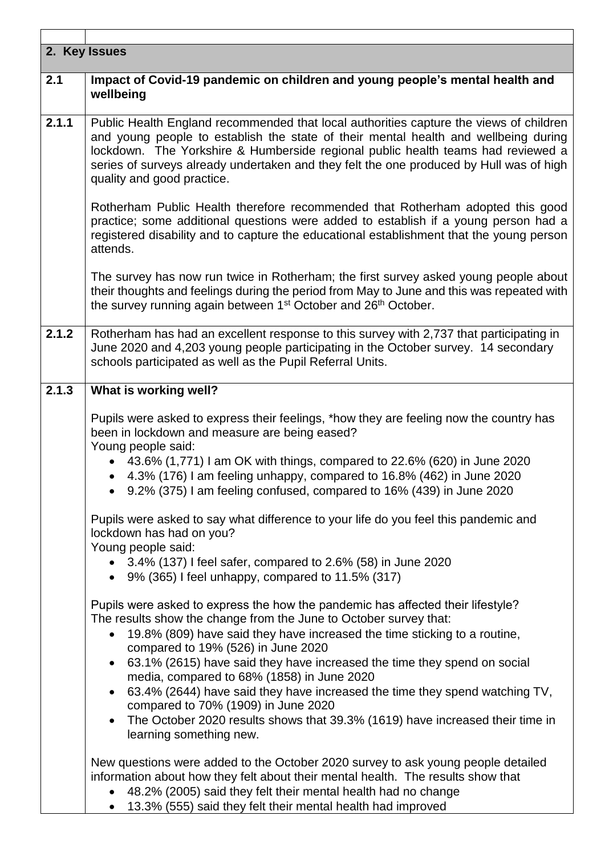|       | 2. Key Issues                                                                                                                                                                                                                                                                                                                                                                                            |
|-------|----------------------------------------------------------------------------------------------------------------------------------------------------------------------------------------------------------------------------------------------------------------------------------------------------------------------------------------------------------------------------------------------------------|
| 2.1   | Impact of Covid-19 pandemic on children and young people's mental health and<br>wellbeing                                                                                                                                                                                                                                                                                                                |
| 2.1.1 | Public Health England recommended that local authorities capture the views of children<br>and young people to establish the state of their mental health and wellbeing during<br>lockdown. The Yorkshire & Humberside regional public health teams had reviewed a<br>series of surveys already undertaken and they felt the one produced by Hull was of high<br>quality and good practice.               |
|       | Rotherham Public Health therefore recommended that Rotherham adopted this good<br>practice; some additional questions were added to establish if a young person had a<br>registered disability and to capture the educational establishment that the young person<br>attends.                                                                                                                            |
|       | The survey has now run twice in Rotherham; the first survey asked young people about<br>their thoughts and feelings during the period from May to June and this was repeated with<br>the survey running again between 1 <sup>st</sup> October and 26 <sup>th</sup> October.                                                                                                                              |
| 2.1.2 | Rotherham has had an excellent response to this survey with 2,737 that participating in<br>June 2020 and 4,203 young people participating in the October survey. 14 secondary<br>schools participated as well as the Pupil Referral Units.                                                                                                                                                               |
| 2.1.3 | What is working well?                                                                                                                                                                                                                                                                                                                                                                                    |
|       | Pupils were asked to express their feelings, *how they are feeling now the country has<br>been in lockdown and measure are being eased?<br>Young people said:<br>• 43.6% (1,771) I am OK with things, compared to 22.6% (620) in June 2020<br>4.3% (176) I am feeling unhappy, compared to 16.8% (462) in June 2020<br>$\bullet$<br>9.2% (375) I am feeling confused, compared to 16% (439) in June 2020 |
|       | Pupils were asked to say what difference to your life do you feel this pandemic and<br>lockdown has had on you?<br>Young people said:                                                                                                                                                                                                                                                                    |
|       | • $3.4\%$ (137) I feel safer, compared to 2.6% (58) in June 2020<br>$\bullet$ 9% (365) I feel unhappy, compared to 11.5% (317)                                                                                                                                                                                                                                                                           |
|       | Pupils were asked to express the how the pandemic has affected their lifestyle?<br>The results show the change from the June to October survey that:<br>19.8% (809) have said they have increased the time sticking to a routine,<br>compared to 19% (526) in June 2020                                                                                                                                  |
|       | 63.1% (2615) have said they have increased the time they spend on social                                                                                                                                                                                                                                                                                                                                 |
|       | media, compared to 68% (1858) in June 2020<br>63.4% (2644) have said they have increased the time they spend watching TV,<br>$\bullet$<br>compared to 70% (1909) in June 2020                                                                                                                                                                                                                            |
|       | The October 2020 results shows that 39.3% (1619) have increased their time in<br>$\bullet$<br>learning something new.                                                                                                                                                                                                                                                                                    |
|       | New questions were added to the October 2020 survey to ask young people detailed<br>information about how they felt about their mental health. The results show that<br>48.2% (2005) said they felt their mental health had no change<br>13.3% (555) said they felt their mental health had improved                                                                                                     |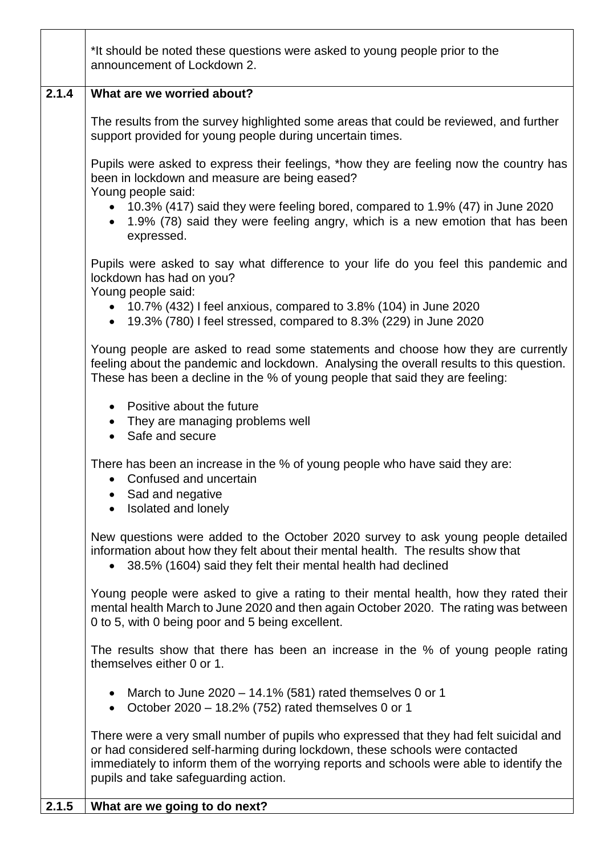|       | *It should be noted these questions were asked to young people prior to the<br>announcement of Lockdown 2.                                                                                                                                                                                                 |
|-------|------------------------------------------------------------------------------------------------------------------------------------------------------------------------------------------------------------------------------------------------------------------------------------------------------------|
| 2.1.4 | What are we worried about?                                                                                                                                                                                                                                                                                 |
|       | The results from the survey highlighted some areas that could be reviewed, and further<br>support provided for young people during uncertain times.                                                                                                                                                        |
|       | Pupils were asked to express their feelings, *how they are feeling now the country has<br>been in lockdown and measure are being eased?<br>Young people said:                                                                                                                                              |
|       | • 10.3% (417) said they were feeling bored, compared to 1.9% (47) in June 2020<br>1.9% (78) said they were feeling angry, which is a new emotion that has been<br>expressed.                                                                                                                               |
|       | Pupils were asked to say what difference to your life do you feel this pandemic and<br>lockdown has had on you?<br>Young people said:                                                                                                                                                                      |
|       | • 10.7% (432) I feel anxious, compared to 3.8% (104) in June 2020<br>• 19.3% (780) I feel stressed, compared to 8.3% (229) in June 2020                                                                                                                                                                    |
|       | Young people are asked to read some statements and choose how they are currently<br>feeling about the pandemic and lockdown. Analysing the overall results to this question.<br>These has been a decline in the % of young people that said they are feeling:                                              |
|       | Positive about the future<br>• They are managing problems well<br>Safe and secure                                                                                                                                                                                                                          |
|       | There has been an increase in the % of young people who have said they are:<br>Confused and uncertain<br>Sad and negative<br>Isolated and lonely                                                                                                                                                           |
|       | New questions were added to the October 2020 survey to ask young people detailed<br>information about how they felt about their mental health. The results show that<br>38.5% (1604) said they felt their mental health had declined                                                                       |
|       | Young people were asked to give a rating to their mental health, how they rated their<br>mental health March to June 2020 and then again October 2020. The rating was between<br>0 to 5, with 0 being poor and 5 being excellent.                                                                          |
|       | The results show that there has been an increase in the % of young people rating<br>themselves either 0 or 1.                                                                                                                                                                                              |
|       | March to June $2020 - 14.1\%$ (581) rated themselves 0 or 1<br>October 2020 - 18.2% (752) rated themselves 0 or 1<br>$\bullet$                                                                                                                                                                             |
|       | There were a very small number of pupils who expressed that they had felt suicidal and<br>or had considered self-harming during lockdown, these schools were contacted<br>immediately to inform them of the worrying reports and schools were able to identify the<br>pupils and take safeguarding action. |
| 2.1.5 | What are we going to do next?                                                                                                                                                                                                                                                                              |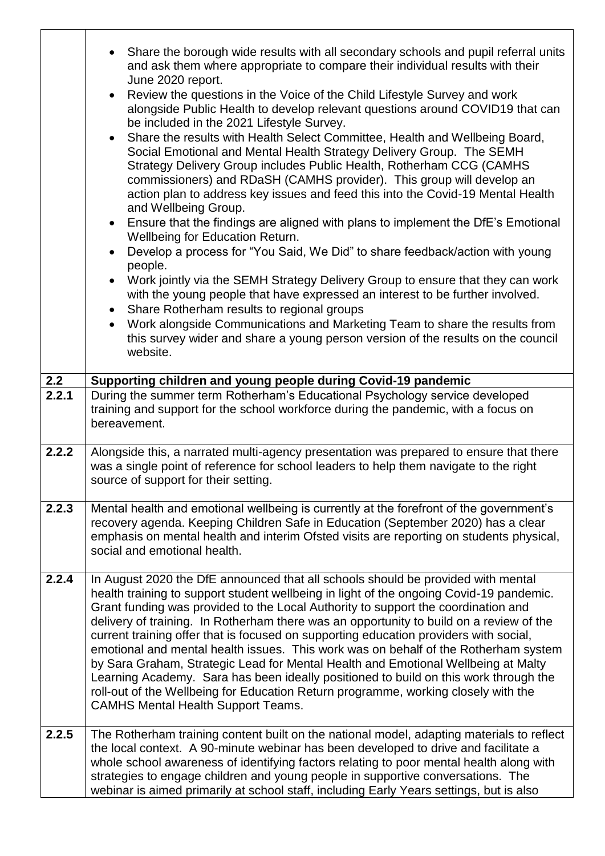|       | Share the borough wide results with all secondary schools and pupil referral units<br>and ask them where appropriate to compare their individual results with their<br>June 2020 report.<br>Review the questions in the Voice of the Child Lifestyle Survey and work<br>$\bullet$<br>alongside Public Health to develop relevant questions around COVID19 that can<br>be included in the 2021 Lifestyle Survey.<br>Share the results with Health Select Committee, Health and Wellbeing Board,<br>$\bullet$<br>Social Emotional and Mental Health Strategy Delivery Group. The SEMH<br>Strategy Delivery Group includes Public Health, Rotherham CCG (CAMHS<br>commissioners) and RDaSH (CAMHS provider). This group will develop an<br>action plan to address key issues and feed this into the Covid-19 Mental Health<br>and Wellbeing Group.<br>Ensure that the findings are aligned with plans to implement the DfE's Emotional<br>$\bullet$<br>Wellbeing for Education Return.<br>Develop a process for "You Said, We Did" to share feedback/action with young<br>people.<br>Work jointly via the SEMH Strategy Delivery Group to ensure that they can work<br>$\bullet$<br>with the young people that have expressed an interest to be further involved.<br>Share Rotherham results to regional groups<br>$\bullet$<br>Work alongside Communications and Marketing Team to share the results from<br>this survey wider and share a young person version of the results on the council<br>website. |
|-------|---------------------------------------------------------------------------------------------------------------------------------------------------------------------------------------------------------------------------------------------------------------------------------------------------------------------------------------------------------------------------------------------------------------------------------------------------------------------------------------------------------------------------------------------------------------------------------------------------------------------------------------------------------------------------------------------------------------------------------------------------------------------------------------------------------------------------------------------------------------------------------------------------------------------------------------------------------------------------------------------------------------------------------------------------------------------------------------------------------------------------------------------------------------------------------------------------------------------------------------------------------------------------------------------------------------------------------------------------------------------------------------------------------------------------------------------------------------------------------------------------------|
| 2.2   | Supporting children and young people during Covid-19 pandemic                                                                                                                                                                                                                                                                                                                                                                                                                                                                                                                                                                                                                                                                                                                                                                                                                                                                                                                                                                                                                                                                                                                                                                                                                                                                                                                                                                                                                                           |
| 2.2.1 | During the summer term Rotherham's Educational Psychology service developed<br>training and support for the school workforce during the pandemic, with a focus on<br>bereavement.                                                                                                                                                                                                                                                                                                                                                                                                                                                                                                                                                                                                                                                                                                                                                                                                                                                                                                                                                                                                                                                                                                                                                                                                                                                                                                                       |
| 2.2.2 | Alongside this, a narrated multi-agency presentation was prepared to ensure that there<br>was a single point of reference for school leaders to help them navigate to the right<br>source of support for their setting.                                                                                                                                                                                                                                                                                                                                                                                                                                                                                                                                                                                                                                                                                                                                                                                                                                                                                                                                                                                                                                                                                                                                                                                                                                                                                 |
| 2.2.3 | Mental health and emotional wellbeing is currently at the forefront of the government's<br>recovery agenda. Keeping Children Safe in Education (September 2020) has a clear<br>emphasis on mental health and interim Ofsted visits are reporting on students physical,<br>social and emotional health.                                                                                                                                                                                                                                                                                                                                                                                                                                                                                                                                                                                                                                                                                                                                                                                                                                                                                                                                                                                                                                                                                                                                                                                                  |
| 2.2.4 | In August 2020 the DfE announced that all schools should be provided with mental<br>health training to support student wellbeing in light of the ongoing Covid-19 pandemic.<br>Grant funding was provided to the Local Authority to support the coordination and<br>delivery of training. In Rotherham there was an opportunity to build on a review of the<br>current training offer that is focused on supporting education providers with social,<br>emotional and mental health issues. This work was on behalf of the Rotherham system<br>by Sara Graham, Strategic Lead for Mental Health and Emotional Wellbeing at Malty<br>Learning Academy. Sara has been ideally positioned to build on this work through the<br>roll-out of the Wellbeing for Education Return programme, working closely with the<br><b>CAMHS Mental Health Support Teams.</b>                                                                                                                                                                                                                                                                                                                                                                                                                                                                                                                                                                                                                                             |
| 2.2.5 | The Rotherham training content built on the national model, adapting materials to reflect<br>the local context. A 90-minute webinar has been developed to drive and facilitate a<br>whole school awareness of identifying factors relating to poor mental health along with<br>strategies to engage children and young people in supportive conversations. The<br>webinar is aimed primarily at school staff, including Early Years settings, but is also                                                                                                                                                                                                                                                                                                                                                                                                                                                                                                                                                                                                                                                                                                                                                                                                                                                                                                                                                                                                                                               |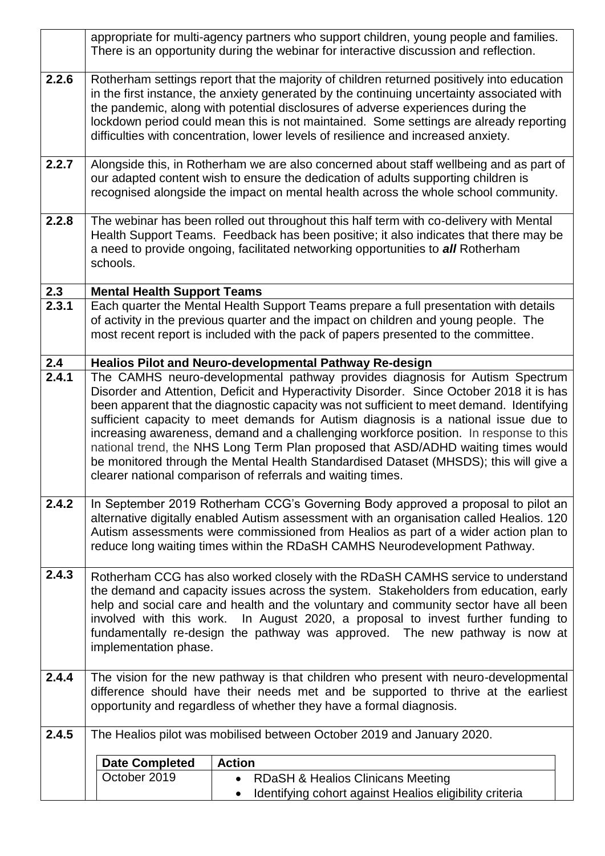|       |                                                                                                                                                                                                                                                                                                                                                                                                                                                                                                                                                                                                                                                                                                     | appropriate for multi-agency partners who support children, young people and families.<br>There is an opportunity during the webinar for interactive discussion and reflection.                                                                                                                                                                                                                                                                              |  |  |  |
|-------|-----------------------------------------------------------------------------------------------------------------------------------------------------------------------------------------------------------------------------------------------------------------------------------------------------------------------------------------------------------------------------------------------------------------------------------------------------------------------------------------------------------------------------------------------------------------------------------------------------------------------------------------------------------------------------------------------------|--------------------------------------------------------------------------------------------------------------------------------------------------------------------------------------------------------------------------------------------------------------------------------------------------------------------------------------------------------------------------------------------------------------------------------------------------------------|--|--|--|
| 2.2.6 |                                                                                                                                                                                                                                                                                                                                                                                                                                                                                                                                                                                                                                                                                                     | Rotherham settings report that the majority of children returned positively into education<br>in the first instance, the anxiety generated by the continuing uncertainty associated with<br>the pandemic, along with potential disclosures of adverse experiences during the<br>lockdown period could mean this is not maintained. Some settings are already reporting<br>difficulties with concentration, lower levels of resilience and increased anxiety. |  |  |  |
| 2.2.7 |                                                                                                                                                                                                                                                                                                                                                                                                                                                                                                                                                                                                                                                                                                     | Alongside this, in Rotherham we are also concerned about staff wellbeing and as part of<br>our adapted content wish to ensure the dedication of adults supporting children is<br>recognised alongside the impact on mental health across the whole school community.                                                                                                                                                                                         |  |  |  |
| 2.2.8 | schools.                                                                                                                                                                                                                                                                                                                                                                                                                                                                                                                                                                                                                                                                                            | The webinar has been rolled out throughout this half term with co-delivery with Mental<br>Health Support Teams. Feedback has been positive; it also indicates that there may be<br>a need to provide ongoing, facilitated networking opportunities to all Rotherham                                                                                                                                                                                          |  |  |  |
| 2.3   | <b>Mental Health Support Teams</b>                                                                                                                                                                                                                                                                                                                                                                                                                                                                                                                                                                                                                                                                  |                                                                                                                                                                                                                                                                                                                                                                                                                                                              |  |  |  |
| 2.3.1 |                                                                                                                                                                                                                                                                                                                                                                                                                                                                                                                                                                                                                                                                                                     | Each quarter the Mental Health Support Teams prepare a full presentation with details<br>of activity in the previous quarter and the impact on children and young people. The<br>most recent report is included with the pack of papers presented to the committee.                                                                                                                                                                                          |  |  |  |
| 2.4   |                                                                                                                                                                                                                                                                                                                                                                                                                                                                                                                                                                                                                                                                                                     | <b>Healios Pilot and Neuro-developmental Pathway Re-design</b>                                                                                                                                                                                                                                                                                                                                                                                               |  |  |  |
| 2.4.1 | The CAMHS neuro-developmental pathway provides diagnosis for Autism Spectrum<br>Disorder and Attention, Deficit and Hyperactivity Disorder. Since October 2018 it is has<br>been apparent that the diagnostic capacity was not sufficient to meet demand. Identifying<br>sufficient capacity to meet demands for Autism diagnosis is a national issue due to<br>increasing awareness, demand and a challenging workforce position. In response to this<br>national trend, the NHS Long Term Plan proposed that ASD/ADHD waiting times would<br>be monitored through the Mental Health Standardised Dataset (MHSDS); this will give a<br>clearer national comparison of referrals and waiting times. |                                                                                                                                                                                                                                                                                                                                                                                                                                                              |  |  |  |
| 2.4.2 |                                                                                                                                                                                                                                                                                                                                                                                                                                                                                                                                                                                                                                                                                                     | In September 2019 Rotherham CCG's Governing Body approved a proposal to pilot an<br>alternative digitally enabled Autism assessment with an organisation called Healios. 120<br>Autism assessments were commissioned from Healios as part of a wider action plan to<br>reduce long waiting times within the RDaSH CAMHS Neurodevelopment Pathway.                                                                                                            |  |  |  |
| 2.4.3 | Rotherham CCG has also worked closely with the RDaSH CAMHS service to understand<br>the demand and capacity issues across the system. Stakeholders from education, early<br>help and social care and health and the voluntary and community sector have all been<br>involved with this work. In August 2020, a proposal to invest further funding to<br>fundamentally re-design the pathway was approved. The new pathway is now at<br>implementation phase.                                                                                                                                                                                                                                        |                                                                                                                                                                                                                                                                                                                                                                                                                                                              |  |  |  |
| 2.4.4 | The vision for the new pathway is that children who present with neuro-developmental<br>difference should have their needs met and be supported to thrive at the earliest<br>opportunity and regardless of whether they have a formal diagnosis.                                                                                                                                                                                                                                                                                                                                                                                                                                                    |                                                                                                                                                                                                                                                                                                                                                                                                                                                              |  |  |  |
| 2.4.5 |                                                                                                                                                                                                                                                                                                                                                                                                                                                                                                                                                                                                                                                                                                     | The Healios pilot was mobilised between October 2019 and January 2020.                                                                                                                                                                                                                                                                                                                                                                                       |  |  |  |
|       |                                                                                                                                                                                                                                                                                                                                                                                                                                                                                                                                                                                                                                                                                                     | <b>Action</b>                                                                                                                                                                                                                                                                                                                                                                                                                                                |  |  |  |
|       | <b>Date Completed</b><br>October 2019                                                                                                                                                                                                                                                                                                                                                                                                                                                                                                                                                                                                                                                               |                                                                                                                                                                                                                                                                                                                                                                                                                                                              |  |  |  |
|       |                                                                                                                                                                                                                                                                                                                                                                                                                                                                                                                                                                                                                                                                                                     | <b>RDaSH &amp; Healios Clinicans Meeting</b><br>$\bullet$<br>Identifying cohort against Healios eligibility criteria                                                                                                                                                                                                                                                                                                                                         |  |  |  |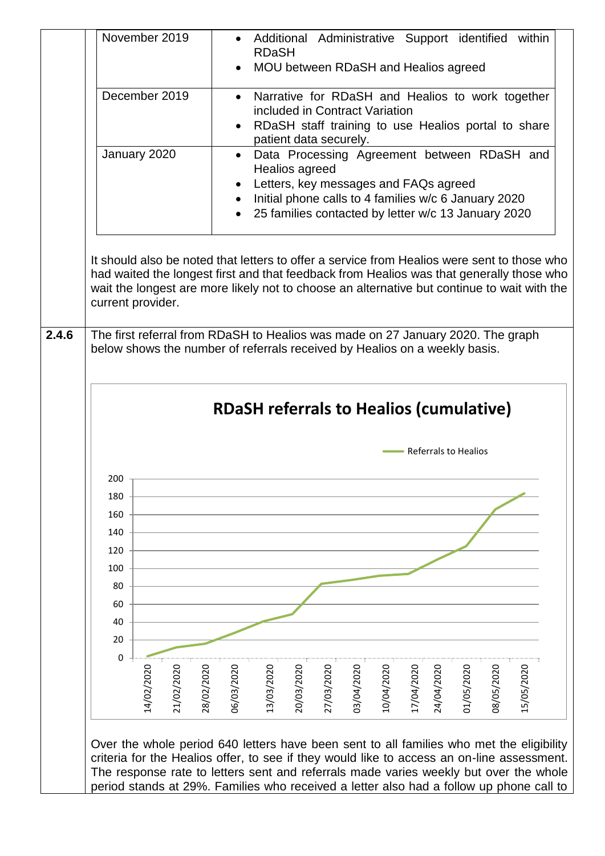| December 2019<br>Narrative for RDaSH and Healios to work together<br>included in Contract Variation<br>RDaSH staff training to use Healios portal to share<br>patient data securely.<br>Data Processing Agreement between RDaSH and<br>January 2020<br>$\bullet$<br>Healios agreed<br>Letters, key messages and FAQs agreed<br>Initial phone calls to 4 families w/c 6 January 2020<br>25 families contacted by letter w/c 13 January 2020<br>It should also be noted that letters to offer a service from Healios were sent to those who<br>had waited the longest first and that feedback from Healios was that generally those who<br>wait the longest are more likely not to choose an alternative but continue to wait with the<br>current provider.<br>The first referral from RDaSH to Healios was made on 27 January 2020. The graph<br>below shows the number of referrals received by Healios on a weekly basis.<br><b>RDaSH referrals to Healios (cumulative)</b><br><b>Referrals to Healios</b><br>200<br>180<br>160<br>140<br>120<br>100<br>80<br>60<br>40<br>20<br>0<br>27/03/2020<br>03/04/2020<br>14/02/2020<br>21/02/2020<br>28/02/2020<br>06/03/2020<br>13/03/2020<br>20/03/2020<br>10/04/2020<br>17/04/2020<br>24/04/2020<br>15/05/2020<br>01/05/2020<br>0202/05/2020 |  | <b>RDaSH</b> | MOU between RDaSH and Healios agreed |  |  | Additional Administrative Support identified within |
|------------------------------------------------------------------------------------------------------------------------------------------------------------------------------------------------------------------------------------------------------------------------------------------------------------------------------------------------------------------------------------------------------------------------------------------------------------------------------------------------------------------------------------------------------------------------------------------------------------------------------------------------------------------------------------------------------------------------------------------------------------------------------------------------------------------------------------------------------------------------------------------------------------------------------------------------------------------------------------------------------------------------------------------------------------------------------------------------------------------------------------------------------------------------------------------------------------------------------------------------------------------------------------------|--|--------------|--------------------------------------|--|--|-----------------------------------------------------|
|                                                                                                                                                                                                                                                                                                                                                                                                                                                                                                                                                                                                                                                                                                                                                                                                                                                                                                                                                                                                                                                                                                                                                                                                                                                                                          |  |              |                                      |  |  |                                                     |
|                                                                                                                                                                                                                                                                                                                                                                                                                                                                                                                                                                                                                                                                                                                                                                                                                                                                                                                                                                                                                                                                                                                                                                                                                                                                                          |  |              |                                      |  |  |                                                     |
|                                                                                                                                                                                                                                                                                                                                                                                                                                                                                                                                                                                                                                                                                                                                                                                                                                                                                                                                                                                                                                                                                                                                                                                                                                                                                          |  |              |                                      |  |  |                                                     |
|                                                                                                                                                                                                                                                                                                                                                                                                                                                                                                                                                                                                                                                                                                                                                                                                                                                                                                                                                                                                                                                                                                                                                                                                                                                                                          |  |              |                                      |  |  |                                                     |
|                                                                                                                                                                                                                                                                                                                                                                                                                                                                                                                                                                                                                                                                                                                                                                                                                                                                                                                                                                                                                                                                                                                                                                                                                                                                                          |  |              |                                      |  |  |                                                     |
|                                                                                                                                                                                                                                                                                                                                                                                                                                                                                                                                                                                                                                                                                                                                                                                                                                                                                                                                                                                                                                                                                                                                                                                                                                                                                          |  |              |                                      |  |  |                                                     |
|                                                                                                                                                                                                                                                                                                                                                                                                                                                                                                                                                                                                                                                                                                                                                                                                                                                                                                                                                                                                                                                                                                                                                                                                                                                                                          |  |              |                                      |  |  |                                                     |
|                                                                                                                                                                                                                                                                                                                                                                                                                                                                                                                                                                                                                                                                                                                                                                                                                                                                                                                                                                                                                                                                                                                                                                                                                                                                                          |  |              |                                      |  |  |                                                     |
|                                                                                                                                                                                                                                                                                                                                                                                                                                                                                                                                                                                                                                                                                                                                                                                                                                                                                                                                                                                                                                                                                                                                                                                                                                                                                          |  |              |                                      |  |  |                                                     |
|                                                                                                                                                                                                                                                                                                                                                                                                                                                                                                                                                                                                                                                                                                                                                                                                                                                                                                                                                                                                                                                                                                                                                                                                                                                                                          |  |              |                                      |  |  |                                                     |
|                                                                                                                                                                                                                                                                                                                                                                                                                                                                                                                                                                                                                                                                                                                                                                                                                                                                                                                                                                                                                                                                                                                                                                                                                                                                                          |  |              |                                      |  |  |                                                     |
|                                                                                                                                                                                                                                                                                                                                                                                                                                                                                                                                                                                                                                                                                                                                                                                                                                                                                                                                                                                                                                                                                                                                                                                                                                                                                          |  |              |                                      |  |  |                                                     |
|                                                                                                                                                                                                                                                                                                                                                                                                                                                                                                                                                                                                                                                                                                                                                                                                                                                                                                                                                                                                                                                                                                                                                                                                                                                                                          |  |              |                                      |  |  |                                                     |
|                                                                                                                                                                                                                                                                                                                                                                                                                                                                                                                                                                                                                                                                                                                                                                                                                                                                                                                                                                                                                                                                                                                                                                                                                                                                                          |  |              |                                      |  |  |                                                     |
|                                                                                                                                                                                                                                                                                                                                                                                                                                                                                                                                                                                                                                                                                                                                                                                                                                                                                                                                                                                                                                                                                                                                                                                                                                                                                          |  |              |                                      |  |  |                                                     |
|                                                                                                                                                                                                                                                                                                                                                                                                                                                                                                                                                                                                                                                                                                                                                                                                                                                                                                                                                                                                                                                                                                                                                                                                                                                                                          |  |              |                                      |  |  |                                                     |
|                                                                                                                                                                                                                                                                                                                                                                                                                                                                                                                                                                                                                                                                                                                                                                                                                                                                                                                                                                                                                                                                                                                                                                                                                                                                                          |  |              |                                      |  |  |                                                     |
|                                                                                                                                                                                                                                                                                                                                                                                                                                                                                                                                                                                                                                                                                                                                                                                                                                                                                                                                                                                                                                                                                                                                                                                                                                                                                          |  |              |                                      |  |  |                                                     |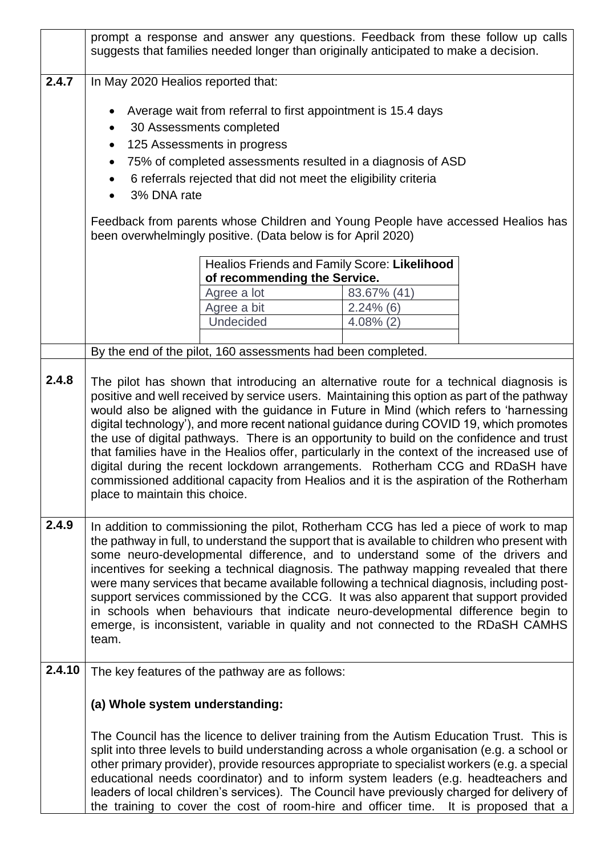|        |                                                                                                                                                                                                                                                                                                                                                                                                                                                                                                                                                                                                                                                                                                                                         |                                                              | prompt a response and answer any questions. Feedback from these follow up calls<br>suggests that families needed longer than originally anticipated to make a decision.                                                                                                                                                                                                                                                                                                                                                                                             |  |  |  |
|--------|-----------------------------------------------------------------------------------------------------------------------------------------------------------------------------------------------------------------------------------------------------------------------------------------------------------------------------------------------------------------------------------------------------------------------------------------------------------------------------------------------------------------------------------------------------------------------------------------------------------------------------------------------------------------------------------------------------------------------------------------|--------------------------------------------------------------|---------------------------------------------------------------------------------------------------------------------------------------------------------------------------------------------------------------------------------------------------------------------------------------------------------------------------------------------------------------------------------------------------------------------------------------------------------------------------------------------------------------------------------------------------------------------|--|--|--|
| 2.4.7  | In May 2020 Healios reported that:                                                                                                                                                                                                                                                                                                                                                                                                                                                                                                                                                                                                                                                                                                      |                                                              |                                                                                                                                                                                                                                                                                                                                                                                                                                                                                                                                                                     |  |  |  |
|        | Average wait from referral to first appointment is 15.4 days<br>30 Assessments completed<br>125 Assessments in progress<br>$\bullet$<br>75% of completed assessments resulted in a diagnosis of ASD<br>6 referrals rejected that did not meet the eligibility criteria<br>3% DNA rate<br>$\bullet$                                                                                                                                                                                                                                                                                                                                                                                                                                      |                                                              |                                                                                                                                                                                                                                                                                                                                                                                                                                                                                                                                                                     |  |  |  |
|        |                                                                                                                                                                                                                                                                                                                                                                                                                                                                                                                                                                                                                                                                                                                                         | been overwhelmingly positive. (Data below is for April 2020) | Feedback from parents whose Children and Young People have accessed Healios has                                                                                                                                                                                                                                                                                                                                                                                                                                                                                     |  |  |  |
|        |                                                                                                                                                                                                                                                                                                                                                                                                                                                                                                                                                                                                                                                                                                                                         |                                                              | Healios Friends and Family Score: Likelihood                                                                                                                                                                                                                                                                                                                                                                                                                                                                                                                        |  |  |  |
|        |                                                                                                                                                                                                                                                                                                                                                                                                                                                                                                                                                                                                                                                                                                                                         | of recommending the Service.<br>Agree a lot                  | 83.67% (41)                                                                                                                                                                                                                                                                                                                                                                                                                                                                                                                                                         |  |  |  |
|        |                                                                                                                                                                                                                                                                                                                                                                                                                                                                                                                                                                                                                                                                                                                                         | Agree a bit                                                  | $2.24\%$ (6)                                                                                                                                                                                                                                                                                                                                                                                                                                                                                                                                                        |  |  |  |
|        |                                                                                                                                                                                                                                                                                                                                                                                                                                                                                                                                                                                                                                                                                                                                         | <b>Undecided</b>                                             | $4.08\%$ (2)                                                                                                                                                                                                                                                                                                                                                                                                                                                                                                                                                        |  |  |  |
|        |                                                                                                                                                                                                                                                                                                                                                                                                                                                                                                                                                                                                                                                                                                                                         |                                                              |                                                                                                                                                                                                                                                                                                                                                                                                                                                                                                                                                                     |  |  |  |
|        |                                                                                                                                                                                                                                                                                                                                                                                                                                                                                                                                                                                                                                                                                                                                         | By the end of the pilot, 160 assessments had been completed. |                                                                                                                                                                                                                                                                                                                                                                                                                                                                                                                                                                     |  |  |  |
|        | would also be aligned with the guidance in Future in Mind (which refers to 'harnessing<br>digital technology'), and more recent national guidance during COVID 19, which promotes<br>the use of digital pathways. There is an opportunity to build on the confidence and trust<br>that families have in the Healios offer, particularly in the context of the increased use of<br>digital during the recent lockdown arrangements. Rotherham CCG and RDaSH have<br>commissioned additional capacity from Healios and it is the aspiration of the Rotherham<br>place to maintain this choice.                                                                                                                                            |                                                              |                                                                                                                                                                                                                                                                                                                                                                                                                                                                                                                                                                     |  |  |  |
| 2.4.9  | In addition to commissioning the pilot, Rotherham CCG has led a piece of work to map<br>the pathway in full, to understand the support that is available to children who present with<br>some neuro-developmental difference, and to understand some of the drivers and<br>incentives for seeking a technical diagnosis. The pathway mapping revealed that there<br>were many services that became available following a technical diagnosis, including post-<br>support services commissioned by the CCG. It was also apparent that support provided<br>in schools when behaviours that indicate neuro-developmental difference begin to<br>emerge, is inconsistent, variable in quality and not connected to the RDaSH CAMHS<br>team. |                                                              |                                                                                                                                                                                                                                                                                                                                                                                                                                                                                                                                                                     |  |  |  |
| 2.4.10 | The key features of the pathway are as follows:                                                                                                                                                                                                                                                                                                                                                                                                                                                                                                                                                                                                                                                                                         |                                                              |                                                                                                                                                                                                                                                                                                                                                                                                                                                                                                                                                                     |  |  |  |
|        | (a) Whole system understanding:                                                                                                                                                                                                                                                                                                                                                                                                                                                                                                                                                                                                                                                                                                         |                                                              |                                                                                                                                                                                                                                                                                                                                                                                                                                                                                                                                                                     |  |  |  |
|        |                                                                                                                                                                                                                                                                                                                                                                                                                                                                                                                                                                                                                                                                                                                                         |                                                              | The Council has the licence to deliver training from the Autism Education Trust. This is<br>split into three levels to build understanding across a whole organisation (e.g. a school or<br>other primary provider), provide resources appropriate to specialist workers (e.g. a special<br>educational needs coordinator) and to inform system leaders (e.g. headteachers and<br>leaders of local children's services). The Council have previously charged for delivery of<br>the training to cover the cost of room-hire and officer time. It is proposed that a |  |  |  |

 $\lfloor$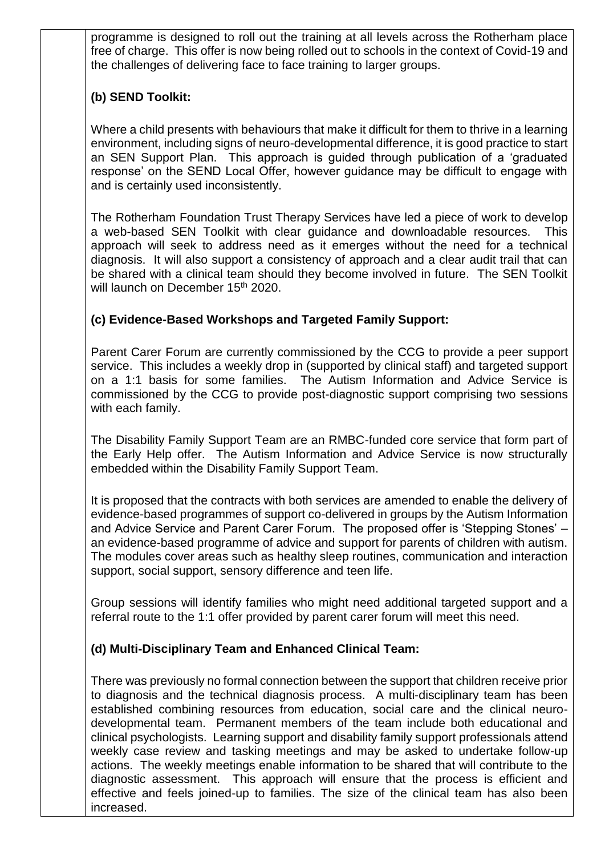programme is designed to roll out the training at all levels across the Rotherham place free of charge. This offer is now being rolled out to schools in the context of Covid-19 and the challenges of delivering face to face training to larger groups.

## **(b) SEND Toolkit:**

Where a child presents with behaviours that make it difficult for them to thrive in a learning environment, including signs of neuro-developmental difference, it is good practice to start an SEN Support Plan. This approach is guided through publication of a 'graduated response' on the SEND Local Offer, however guidance may be difficult to engage with and is certainly used inconsistently.

The Rotherham Foundation Trust Therapy Services have led a piece of work to develop a web-based SEN Toolkit with clear guidance and downloadable resources. This approach will seek to address need as it emerges without the need for a technical diagnosis. It will also support a consistency of approach and a clear audit trail that can be shared with a clinical team should they become involved in future. The SEN Toolkit will launch on December 15<sup>th</sup> 2020.

## **(c) Evidence-Based Workshops and Targeted Family Support:**

Parent Carer Forum are currently commissioned by the CCG to provide a peer support service. This includes a weekly drop in (supported by clinical staff) and targeted support on a 1:1 basis for some families. The Autism Information and Advice Service is commissioned by the CCG to provide post-diagnostic support comprising two sessions with each family.

The Disability Family Support Team are an RMBC-funded core service that form part of the Early Help offer. The Autism Information and Advice Service is now structurally embedded within the Disability Family Support Team.

It is proposed that the contracts with both services are amended to enable the delivery of evidence-based programmes of support co-delivered in groups by the Autism Information and Advice Service and Parent Carer Forum. The proposed offer is 'Stepping Stones' – an evidence-based programme of advice and support for parents of children with autism. The modules cover areas such as healthy sleep routines, communication and interaction support, social support, sensory difference and teen life.

Group sessions will identify families who might need additional targeted support and a referral route to the 1:1 offer provided by parent carer forum will meet this need.

## **(d) Multi-Disciplinary Team and Enhanced Clinical Team:**

There was previously no formal connection between the support that children receive prior to diagnosis and the technical diagnosis process. A multi-disciplinary team has been established combining resources from education, social care and the clinical neurodevelopmental team. Permanent members of the team include both educational and clinical psychologists. Learning support and disability family support professionals attend weekly case review and tasking meetings and may be asked to undertake follow-up actions. The weekly meetings enable information to be shared that will contribute to the diagnostic assessment. This approach will ensure that the process is efficient and effective and feels joined-up to families. The size of the clinical team has also been increased.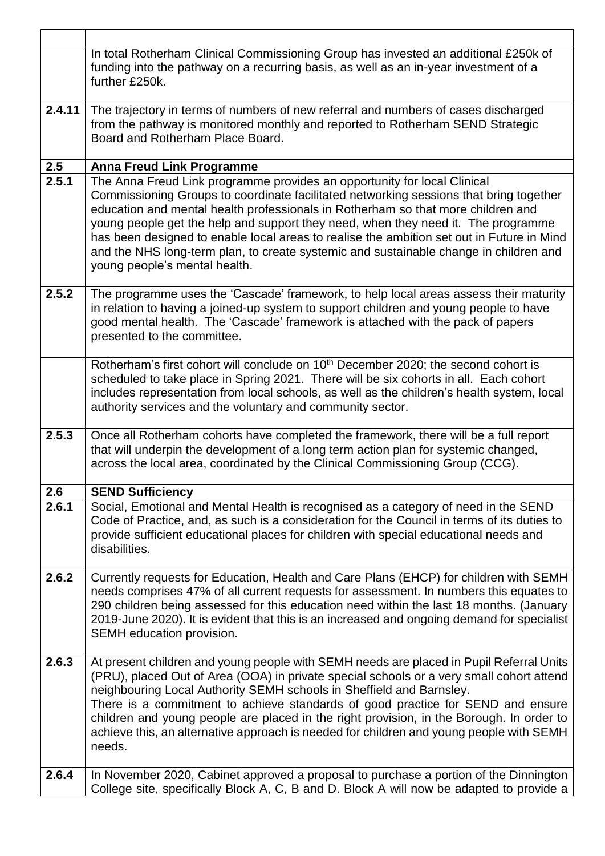|        | In total Rotherham Clinical Commissioning Group has invested an additional £250k of<br>funding into the pathway on a recurring basis, as well as an in-year investment of a<br>further £250k.                                                                                                                                                                                                                                                                                                                                                                      |
|--------|--------------------------------------------------------------------------------------------------------------------------------------------------------------------------------------------------------------------------------------------------------------------------------------------------------------------------------------------------------------------------------------------------------------------------------------------------------------------------------------------------------------------------------------------------------------------|
| 2.4.11 | The trajectory in terms of numbers of new referral and numbers of cases discharged<br>from the pathway is monitored monthly and reported to Rotherham SEND Strategic<br>Board and Rotherham Place Board.                                                                                                                                                                                                                                                                                                                                                           |
| 2.5    | <b>Anna Freud Link Programme</b>                                                                                                                                                                                                                                                                                                                                                                                                                                                                                                                                   |
| 2.5.1  | The Anna Freud Link programme provides an opportunity for local Clinical<br>Commissioning Groups to coordinate facilitated networking sessions that bring together<br>education and mental health professionals in Rotherham so that more children and<br>young people get the help and support they need, when they need it. The programme<br>has been designed to enable local areas to realise the ambition set out in Future in Mind<br>and the NHS long-term plan, to create systemic and sustainable change in children and<br>young people's mental health. |
| 2.5.2  | The programme uses the 'Cascade' framework, to help local areas assess their maturity<br>in relation to having a joined-up system to support children and young people to have<br>good mental health. The 'Cascade' framework is attached with the pack of papers<br>presented to the committee.                                                                                                                                                                                                                                                                   |
|        | Rotherham's first cohort will conclude on 10 <sup>th</sup> December 2020; the second cohort is<br>scheduled to take place in Spring 2021. There will be six cohorts in all. Each cohort<br>includes representation from local schools, as well as the children's health system, local<br>authority services and the voluntary and community sector.                                                                                                                                                                                                                |
| 2.5.3  | Once all Rotherham cohorts have completed the framework, there will be a full report<br>that will underpin the development of a long term action plan for systemic changed,<br>across the local area, coordinated by the Clinical Commissioning Group (CCG).                                                                                                                                                                                                                                                                                                       |
| 2.6    | <b>SEND Sufficiency</b>                                                                                                                                                                                                                                                                                                                                                                                                                                                                                                                                            |
| 2.6.1  | Social, Emotional and Mental Health is recognised as a category of need in the SEND<br>Code of Practice, and, as such is a consideration for the Council in terms of its duties to<br>provide sufficient educational places for children with special educational needs and<br>disabilities.                                                                                                                                                                                                                                                                       |
| 2.6.2  | Currently requests for Education, Health and Care Plans (EHCP) for children with SEMH<br>needs comprises 47% of all current requests for assessment. In numbers this equates to<br>290 children being assessed for this education need within the last 18 months. (January<br>2019-June 2020). It is evident that this is an increased and ongoing demand for specialist<br>SEMH education provision.                                                                                                                                                              |
| 2.6.3  | At present children and young people with SEMH needs are placed in Pupil Referral Units<br>(PRU), placed Out of Area (OOA) in private special schools or a very small cohort attend<br>neighbouring Local Authority SEMH schools in Sheffield and Barnsley.<br>There is a commitment to achieve standards of good practice for SEND and ensure<br>children and young people are placed in the right provision, in the Borough. In order to<br>achieve this, an alternative approach is needed for children and young people with SEMH<br>needs.                    |
| 2.6.4  | In November 2020, Cabinet approved a proposal to purchase a portion of the Dinnington<br>College site, specifically Block A, C, B and D. Block A will now be adapted to provide a                                                                                                                                                                                                                                                                                                                                                                                  |

 $\Gamma$